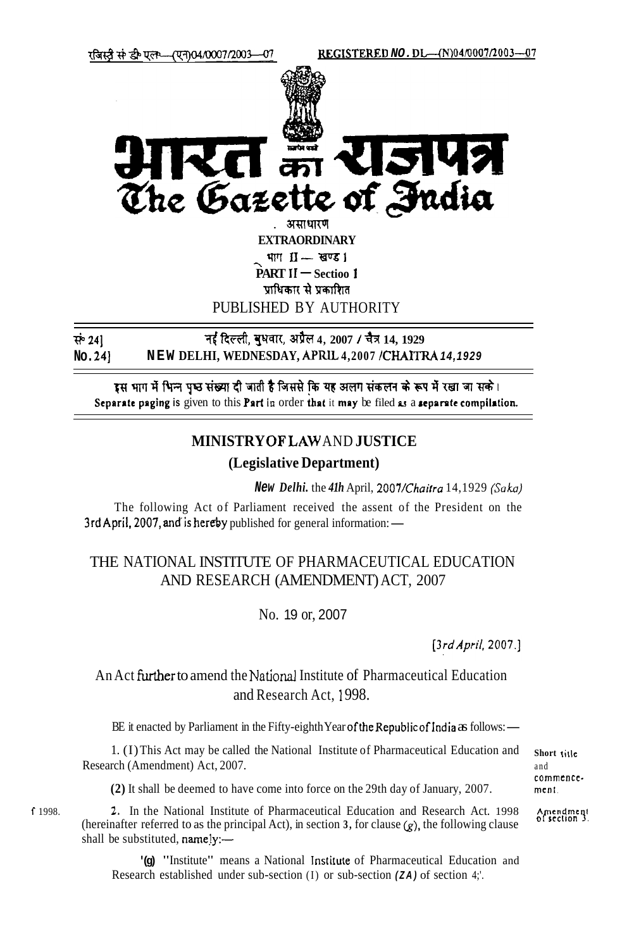REGISTERED NO.DL-(N)04/0007/2003-07



te of India The Gazett

> . असाधारण **EXTRAORDINARY** भाग $II -$ स्वण्ड। **PART II - Sectioo 1** पाधिकार से प्रकाशित PUBLISHED BY AUTHORITY

नई दिल्ली, बंधवार, अप्रैल 4, 2007 / चैत्र 14, 1929 सं 241 NEW DELHI, WEDNESDAY, APRIL 4,2007 /CHAITRA 14,1929 No. 24

इस भाग में भिन्न पृष्ठ संख्या दी जाती है जिससे कि यह अलग संकलन के रूप में रखा जा सके। Separate paging is given to this Part in order that it may be filed as a separate compilation.

## MINISTRY OF LAW AND JUSTICE

## (Legislative Department)

New Delhi. the 41h April, 2007/Chaitra 14,1929 (Saka)

The following Act of Parliament received the assent of the President on the 3rd April, 2007, and is hereby published for general information: —

## THE NATIONAL INSTITUTE OF PHARMACEUTICAL EDUCATION AND RESEARCH (AMENDMENT) ACT, 2007

No. 19 or, 2007

 $[3rd$  April, 2007.]

## An Act further to amend the National Institute of Pharmaceutical Education and Research Act. 1998.

BE it enacted by Parliament in the Fifty-eighth Year of the Republic of India as follows: —

1. (I) This Act may be called the National Institute of Pharmaceutical Education and Research (Amendment) Act, 2007.

(2) It shall be deemed to have come into force on the 29th day of January, 2007.

2. In the National Institute of Pharmaceutical Education and Research Act. 1998 (hereinafter referred to as the principal Act), in section 3, for clause  $(g)$ , the following clause shall be substituted, namely:-

"(g) "Institute" means a National Institute of Pharmaceutical Education and Research established under sub-section (I) or sub-section (ZA) of section 4;

Short title and commencement.

Amendment<br>of section 3

f 1998.